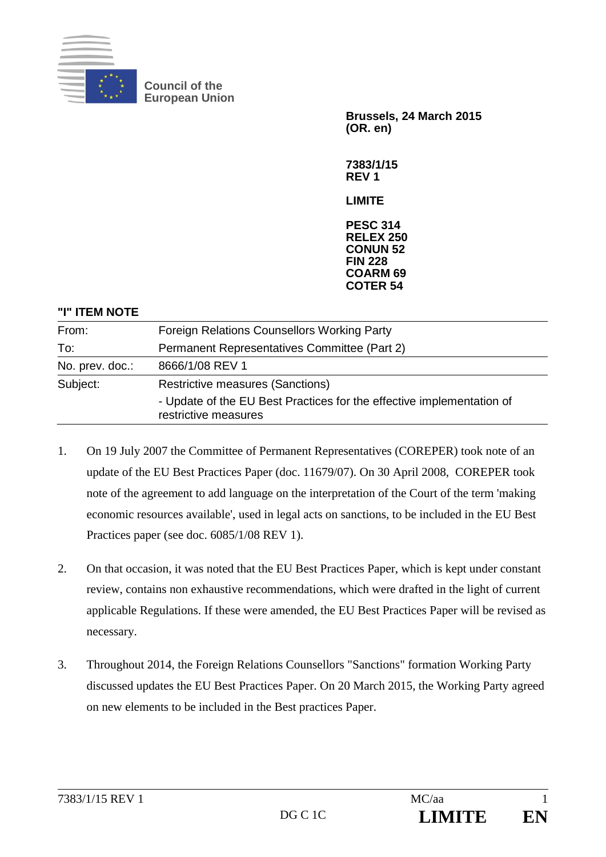

**Council of the European Union** 

> **Brussels, 24 March 2015 (OR. en)**

**7383/1/15 REV 1** 

**LIMITE** 

**PESC 314 RELEX 250 CONUN 52 FIN 228 COARM 69 COTER 54**

#### **"I" ITEM NOTE**

| From:           | <b>Foreign Relations Counsellors Working Party</b>                                            |
|-----------------|-----------------------------------------------------------------------------------------------|
| To:             | Permanent Representatives Committee (Part 2)                                                  |
| No. prev. doc.: | 8666/1/08 REV 1                                                                               |
| Subject:        | <b>Restrictive measures (Sanctions)</b>                                                       |
|                 | - Update of the EU Best Practices for the effective implementation of<br>restrictive measures |
|                 |                                                                                               |

- 1. On 19 July 2007 the Committee of Permanent Representatives (COREPER) took note of an update of the EU Best Practices Paper (doc. 11679/07). On 30 April 2008, COREPER took note of the agreement to add language on the interpretation of the Court of the term 'making economic resources available', used in legal acts on sanctions, to be included in the EU Best Practices paper (see doc. 6085/1/08 REV 1).
- 2. On that occasion, it was noted that the EU Best Practices Paper, which is kept under constant review, contains non exhaustive recommendations, which were drafted in the light of current applicable Regulations. If these were amended, the EU Best Practices Paper will be revised as necessary.
- 3. Throughout 2014, the Foreign Relations Counsellors "Sanctions" formation Working Party discussed updates the EU Best Practices Paper. On 20 March 2015, the Working Party agreed on new elements to be included in the Best practices Paper.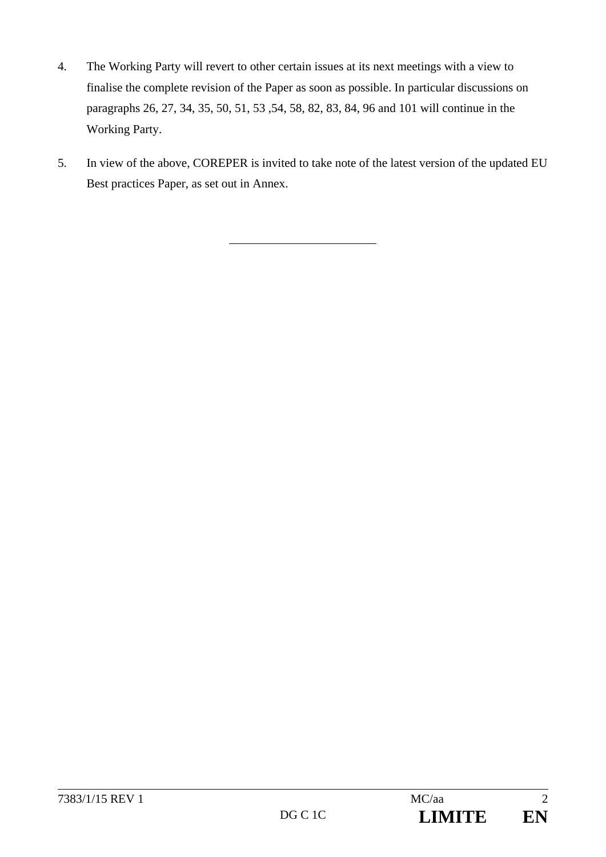- 4. The Working Party will revert to other certain issues at its next meetings with a view to finalise the complete revision of the Paper as soon as possible. In particular discussions on paragraphs 26, 27, 34, 35, 50, 51, 53 ,54, 58, 82, 83, 84, 96 and 101 will continue in the Working Party.
- 5. In view of the above, COREPER is invited to take note of the latest version of the updated EU Best practices Paper, as set out in Annex.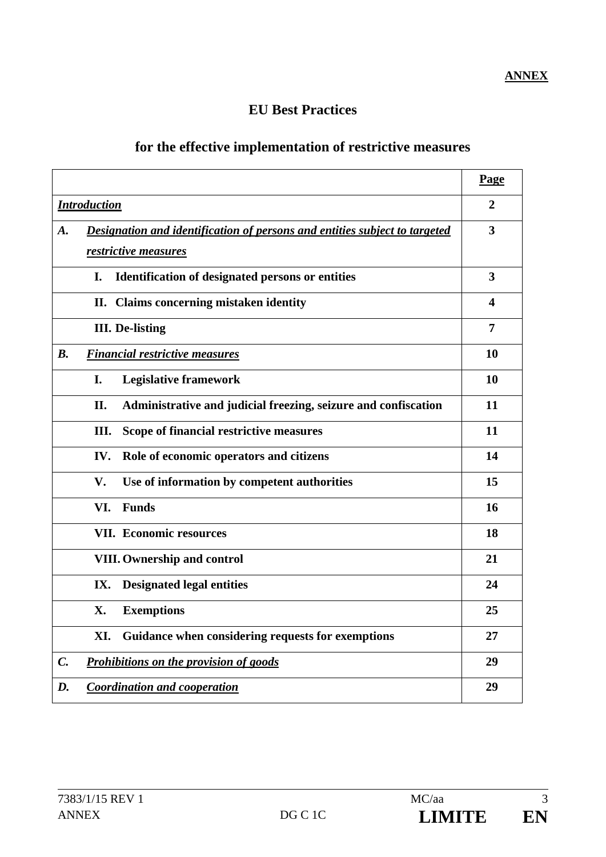## **ANNEX**

## **EU Best Practices**

## **for the effective implementation of restrictive measures**

|                                                                                  | Page |
|----------------------------------------------------------------------------------|------|
| <b>Introduction</b>                                                              |      |
| Designation and identification of persons and entities subject to targeted<br>A. |      |
| restrictive measures                                                             |      |
| <b>Identification of designated persons or entities</b><br>I.                    | 3    |
| II. Claims concerning mistaken identity                                          | 4    |
| <b>III.</b> De-listing                                                           |      |
| B <sub>1</sub><br><b>Financial restrictive measures</b>                          | 10   |
| I.<br><b>Legislative framework</b>                                               | 10   |
| Administrative and judicial freezing, seizure and confiscation<br>II.            | 11   |
| III.<br>Scope of financial restrictive measures                                  | 11   |
| IV.<br>Role of economic operators and citizens                                   | 14   |
| V.<br>Use of information by competent authorities                                | 15   |
| VI.<br><b>Funds</b>                                                              | 16   |
| <b>VII. Economic resources</b>                                                   | 18   |
| <b>VIII. Ownership and control</b>                                               | 21   |
| IX.<br><b>Designated legal entities</b>                                          | 24   |
| X.<br><b>Exemptions</b>                                                          | 25   |
| XI.<br>Guidance when considering requests for exemptions                         | 27   |
| Prohibitions on the provision of goods<br>$\mathcal{C}$ .                        |      |
| D.<br><b>Coordination and cooperation</b>                                        |      |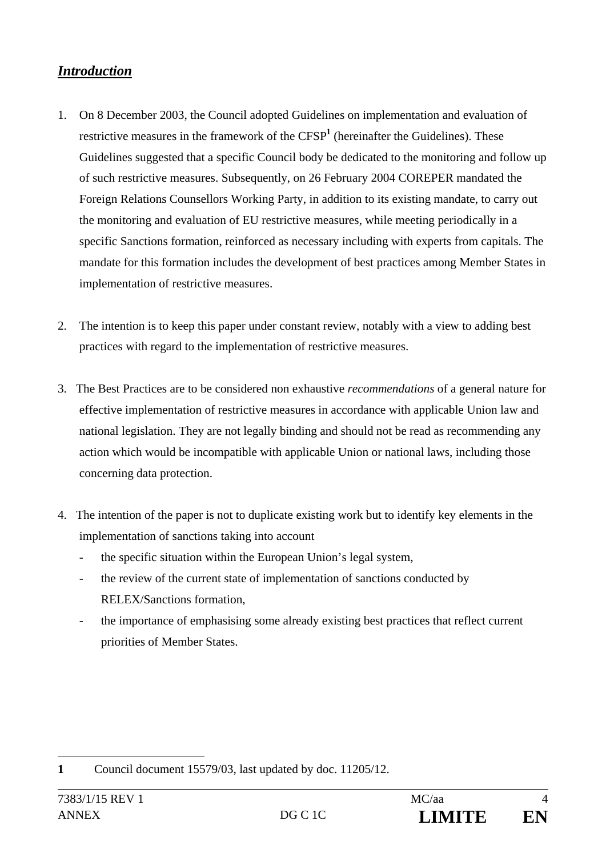## *Introduction*

- 1. On 8 December 2003, the Council adopted Guidelines on implementation and evaluation of restrictive measures in the framework of the CFSP<sup>1</sup> (hereinafter the Guidelines). These Guidelines suggested that a specific Council body be dedicated to the monitoring and follow up of such restrictive measures. Subsequently, on 26 February 2004 COREPER mandated the Foreign Relations Counsellors Working Party, in addition to its existing mandate, to carry out the monitoring and evaluation of EU restrictive measures, while meeting periodically in a specific Sanctions formation, reinforced as necessary including with experts from capitals. The mandate for this formation includes the development of best practices among Member States in implementation of restrictive measures.
- 2. The intention is to keep this paper under constant review, notably with a view to adding best practices with regard to the implementation of restrictive measures.
- 3. The Best Practices are to be considered non exhaustive *recommendations* of a general nature for effective implementation of restrictive measures in accordance with applicable Union law and national legislation. They are not legally binding and should not be read as recommending any action which would be incompatible with applicable Union or national laws, including those concerning data protection.
- 4. The intention of the paper is not to duplicate existing work but to identify key elements in the implementation of sanctions taking into account
	- the specific situation within the European Union's legal system,
	- the review of the current state of implementation of sanctions conducted by RELEX/Sanctions formation,
	- the importance of emphasising some already existing best practices that reflect current priorities of Member States.

 $\overline{a}$ **1** Council document 15579/03, last updated by doc. 11205/12.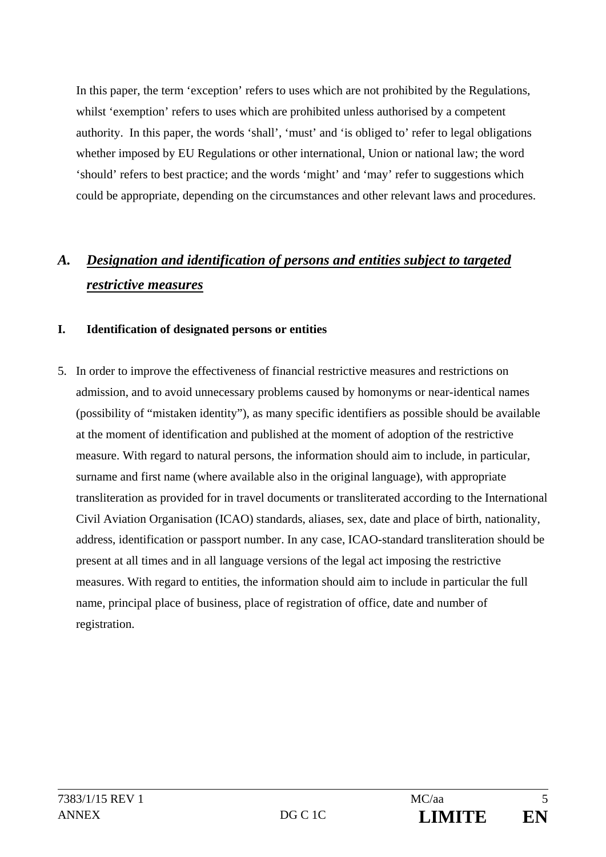In this paper, the term 'exception' refers to uses which are not prohibited by the Regulations, whilst 'exemption' refers to uses which are prohibited unless authorised by a competent authority. In this paper, the words 'shall', 'must' and 'is obliged to' refer to legal obligations whether imposed by EU Regulations or other international, Union or national law; the word 'should' refers to best practice; and the words 'might' and 'may' refer to suggestions which could be appropriate, depending on the circumstances and other relevant laws and procedures.

# *A. Designation and identification of persons and entities subject to targeted restrictive measures*

#### **I. Identification of designated persons or entities**

5. In order to improve the effectiveness of financial restrictive measures and restrictions on admission, and to avoid unnecessary problems caused by homonyms or near-identical names (possibility of "mistaken identity"), as many specific identifiers as possible should be available at the moment of identification and published at the moment of adoption of the restrictive measure. With regard to natural persons, the information should aim to include, in particular, surname and first name (where available also in the original language), with appropriate transliteration as provided for in travel documents or transliterated according to the International Civil Aviation Organisation (ICAO) standards, aliases, sex, date and place of birth, nationality, address, identification or passport number. In any case, ICAO-standard transliteration should be present at all times and in all language versions of the legal act imposing the restrictive measures. With regard to entities, the information should aim to include in particular the full name, principal place of business, place of registration of office, date and number of registration.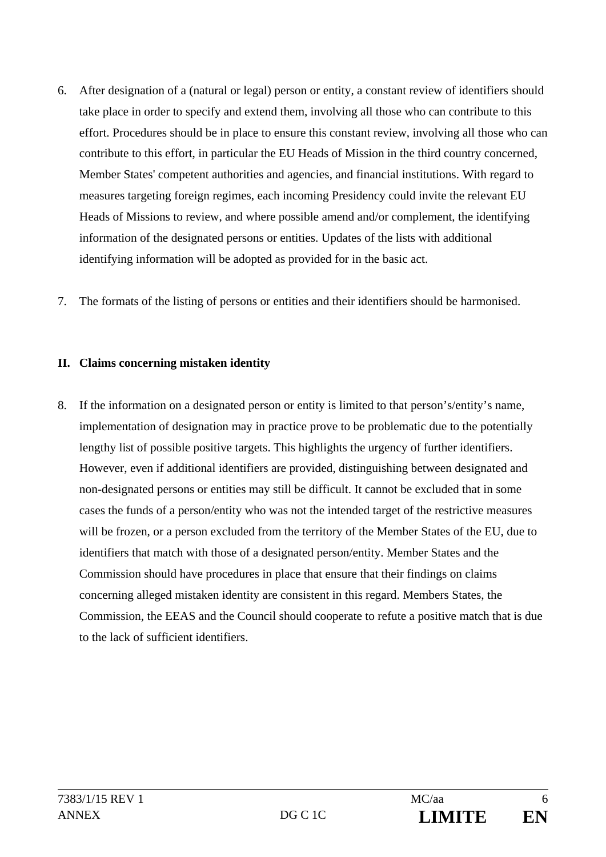- 6. After designation of a (natural or legal) person or entity, a constant review of identifiers should take place in order to specify and extend them, involving all those who can contribute to this effort. Procedures should be in place to ensure this constant review, involving all those who can contribute to this effort, in particular the EU Heads of Mission in the third country concerned, Member States' competent authorities and agencies, and financial institutions. With regard to measures targeting foreign regimes, each incoming Presidency could invite the relevant EU Heads of Missions to review, and where possible amend and/or complement, the identifying information of the designated persons or entities. Updates of the lists with additional identifying information will be adopted as provided for in the basic act.
- 7. The formats of the listing of persons or entities and their identifiers should be harmonised.

#### **II. Claims concerning mistaken identity**

8. If the information on a designated person or entity is limited to that person's/entity's name, implementation of designation may in practice prove to be problematic due to the potentially lengthy list of possible positive targets. This highlights the urgency of further identifiers. However, even if additional identifiers are provided, distinguishing between designated and non-designated persons or entities may still be difficult. It cannot be excluded that in some cases the funds of a person/entity who was not the intended target of the restrictive measures will be frozen, or a person excluded from the territory of the Member States of the EU, due to identifiers that match with those of a designated person/entity. Member States and the Commission should have procedures in place that ensure that their findings on claims concerning alleged mistaken identity are consistent in this regard. Members States, the Commission, the EEAS and the Council should cooperate to refute a positive match that is due to the lack of sufficient identifiers.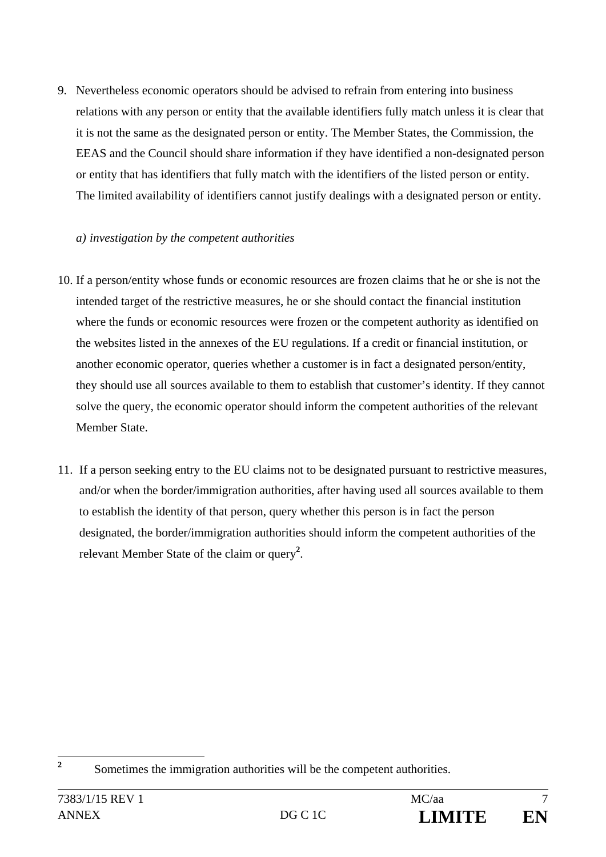9. Nevertheless economic operators should be advised to refrain from entering into business relations with any person or entity that the available identifiers fully match unless it is clear that it is not the same as the designated person or entity. The Member States, the Commission, the EEAS and the Council should share information if they have identified a non-designated person or entity that has identifiers that fully match with the identifiers of the listed person or entity. The limited availability of identifiers cannot justify dealings with a designated person or entity.

#### *a) investigation by the competent authorities*

- 10. If a person/entity whose funds or economic resources are frozen claims that he or she is not the intended target of the restrictive measures, he or she should contact the financial institution where the funds or economic resources were frozen or the competent authority as identified on the websites listed in the annexes of the EU regulations. If a credit or financial institution, or another economic operator, queries whether a customer is in fact a designated person/entity, they should use all sources available to them to establish that customer's identity. If they cannot solve the query, the economic operator should inform the competent authorities of the relevant Member State.
- 11. If a person seeking entry to the EU claims not to be designated pursuant to restrictive measures, and/or when the border/immigration authorities, after having used all sources available to them to establish the identity of that person, query whether this person is in fact the person designated, the border/immigration authorities should inform the competent authorities of the relevant Member State of the claim or query**<sup>2</sup>** .

 **2** Sometimes the immigration authorities will be the competent authorities.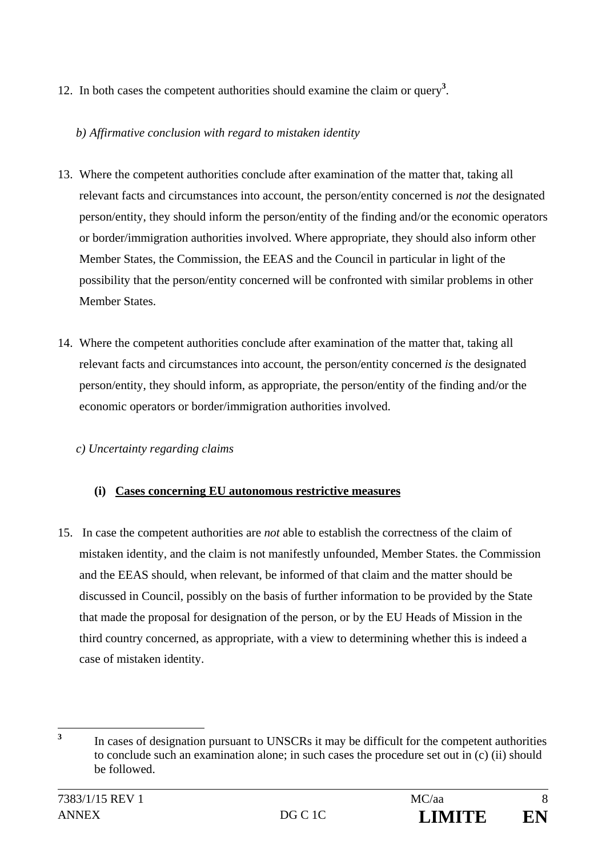12. In both cases the competent authorities should examine the claim or query**<sup>3</sup>** .

## *b) Affirmative conclusion with regard to mistaken identity*

- 13. Where the competent authorities conclude after examination of the matter that, taking all relevant facts and circumstances into account, the person/entity concerned is *not* the designated person/entity, they should inform the person/entity of the finding and/or the economic operators or border/immigration authorities involved. Where appropriate, they should also inform other Member States, the Commission, the EEAS and the Council in particular in light of the possibility that the person/entity concerned will be confronted with similar problems in other Member States.
- 14. Where the competent authorities conclude after examination of the matter that, taking all relevant facts and circumstances into account, the person/entity concerned *is* the designated person/entity, they should inform, as appropriate, the person/entity of the finding and/or the economic operators or border/immigration authorities involved.

## *c) Uncertainty regarding claims*

## **(i) Cases concerning EU autonomous restrictive measures**

15. In case the competent authorities are *not* able to establish the correctness of the claim of mistaken identity, and the claim is not manifestly unfounded, Member States. the Commission and the EEAS should, when relevant, be informed of that claim and the matter should be discussed in Council, possibly on the basis of further information to be provided by the State that made the proposal for designation of the person, or by the EU Heads of Mission in the third country concerned, as appropriate, with a view to determining whether this is indeed a case of mistaken identity.

 **3** In cases of designation pursuant to UNSCRs it may be difficult for the competent authorities to conclude such an examination alone; in such cases the procedure set out in (c) (ii) should be followed.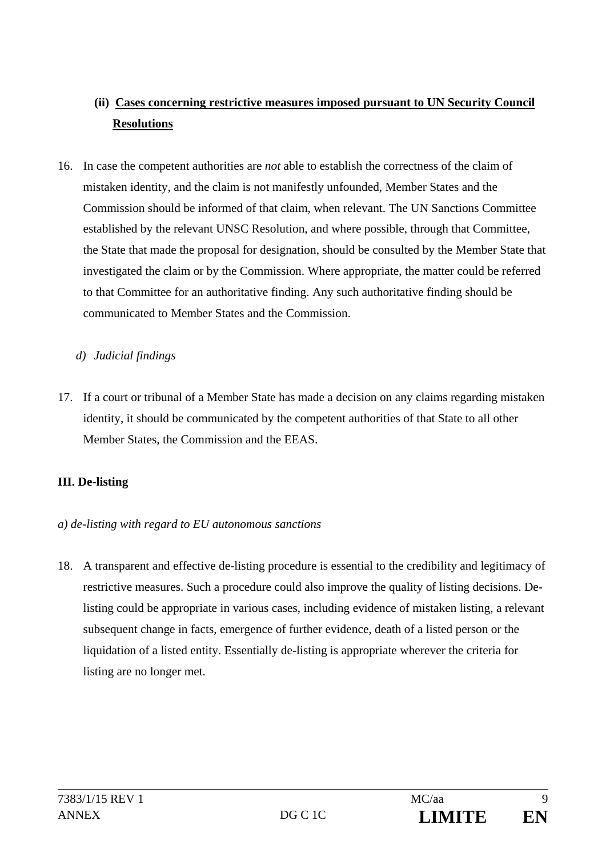## **(ii) Cases concerning restrictive measures imposed pursuant to UN Security Council Resolutions**

- 16. In case the competent authorities are *not* able to establish the correctness of the claim of mistaken identity, and the claim is not manifestly unfounded, Member States and the Commission should be informed of that claim, when relevant. The UN Sanctions Committee established by the relevant UNSC Resolution, and where possible, through that Committee, the State that made the proposal for designation, should be consulted by the Member State that investigated the claim or by the Commission. Where appropriate, the matter could be referred to that Committee for an authoritative finding. Any such authoritative finding should be communicated to Member States and the Commission.
	- *d) Judicial findings*
- 17. If a court or tribunal of a Member State has made a decision on any claims regarding mistaken identity, it should be communicated by the competent authorities of that State to all other Member States, the Commission and the EEAS.

## **III. De-listing**

#### *a) de-listing with regard to EU autonomous sanctions*

18. A transparent and effective de-listing procedure is essential to the credibility and legitimacy of restrictive measures. Such a procedure could also improve the quality of listing decisions. Delisting could be appropriate in various cases, including evidence of mistaken listing, a relevant subsequent change in facts, emergence of further evidence, death of a listed person or the liquidation of a listed entity. Essentially de-listing is appropriate wherever the criteria for listing are no longer met.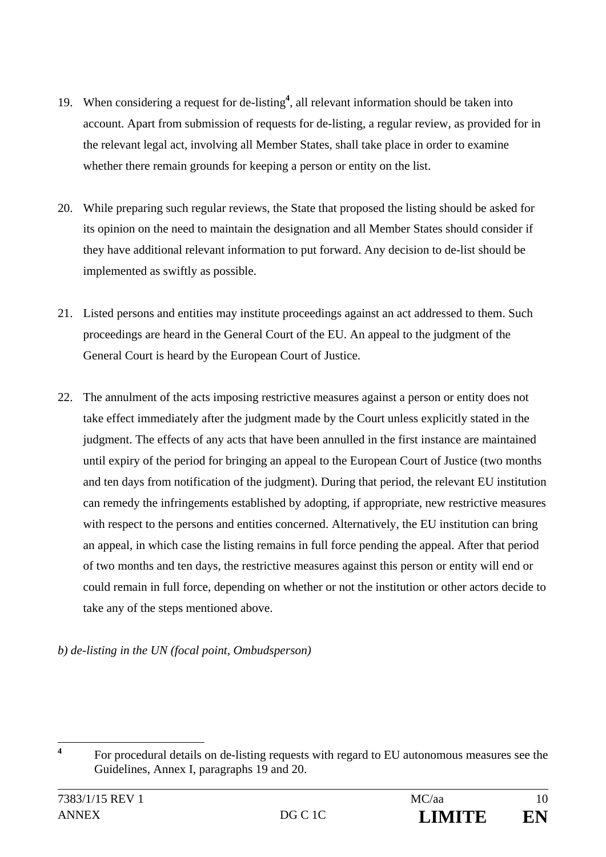- 19. When considering a request for de-listing**<sup>4</sup>** , all relevant information should be taken into account. Apart from submission of requests for de-listing, a regular review, as provided for in the relevant legal act, involving all Member States, shall take place in order to examine whether there remain grounds for keeping a person or entity on the list.
- 20. While preparing such regular reviews, the State that proposed the listing should be asked for its opinion on the need to maintain the designation and all Member States should consider if they have additional relevant information to put forward. Any decision to de-list should be implemented as swiftly as possible.
- 21. Listed persons and entities may institute proceedings against an act addressed to them. Such proceedings are heard in the General Court of the EU. An appeal to the judgment of the General Court is heard by the European Court of Justice.
- 22. The annulment of the acts imposing restrictive measures against a person or entity does not take effect immediately after the judgment made by the Court unless explicitly stated in the judgment. The effects of any acts that have been annulled in the first instance are maintained until expiry of the period for bringing an appeal to the European Court of Justice (two months and ten days from notification of the judgment). During that period, the relevant EU institution can remedy the infringements established by adopting, if appropriate, new restrictive measures with respect to the persons and entities concerned. Alternatively, the EU institution can bring an appeal, in which case the listing remains in full force pending the appeal. After that period of two months and ten days, the restrictive measures against this person or entity will end or could remain in full force, depending on whether or not the institution or other actors decide to take any of the steps mentioned above.

*b) de-listing in the UN (focal point, Ombudsperson)* 

 **4** For procedural details on de-listing requests with regard to EU autonomous measures see the Guidelines, Annex I, paragraphs 19 and 20.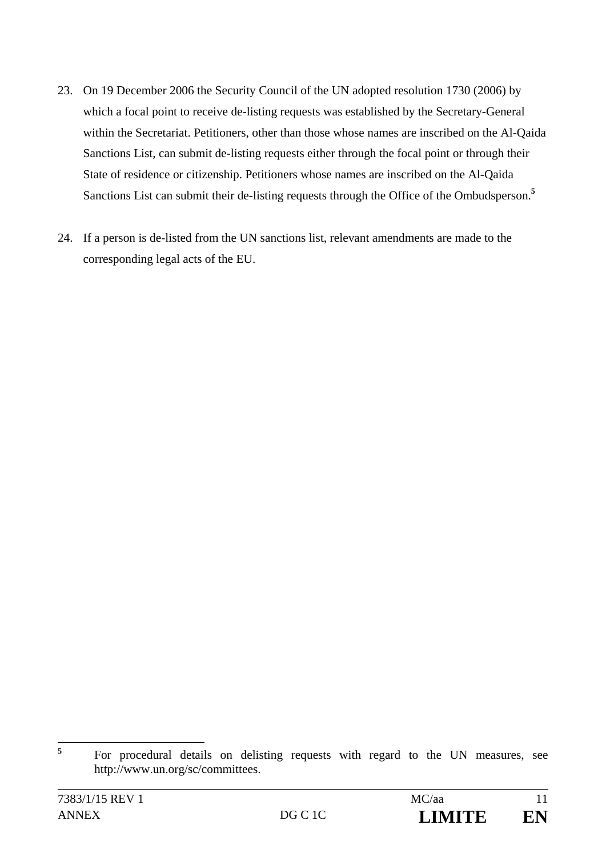- 23. On 19 December 2006 the Security Council of the UN adopted resolution 1730 (2006) by which a focal point to receive de-listing requests was established by the Secretary-General within the Secretariat. Petitioners, other than those whose names are inscribed on the Al-Qaida Sanctions List, can submit de-listing requests either through the focal point or through their State of residence or citizenship. Petitioners whose names are inscribed on the Al-Qaida Sanctions List can submit their de-listing requests through the Office of the Ombudsperson.**<sup>5</sup>**
- 24. If a person is de-listed from the UN sanctions list, relevant amendments are made to the corresponding legal acts of the EU.

 **5** For procedural details on delisting requests with regard to the UN measures, see http://www.un.org/sc/committees.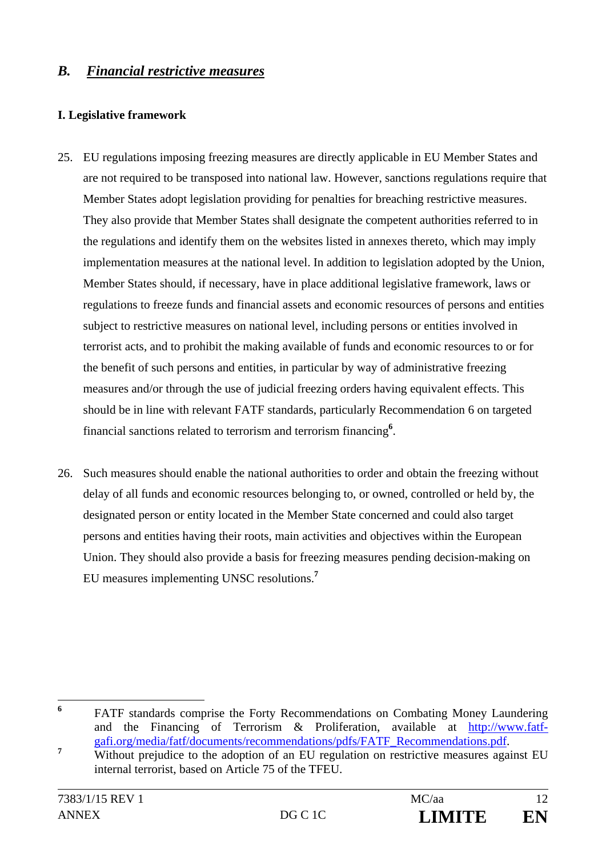## *B. Financial restrictive measures*

#### **I. Legislative framework**

- 25. EU regulations imposing freezing measures are directly applicable in EU Member States and are not required to be transposed into national law. However, sanctions regulations require that Member States adopt legislation providing for penalties for breaching restrictive measures. They also provide that Member States shall designate the competent authorities referred to in the regulations and identify them on the websites listed in annexes thereto, which may imply implementation measures at the national level. In addition to legislation adopted by the Union, Member States should, if necessary, have in place additional legislative framework, laws or regulations to freeze funds and financial assets and economic resources of persons and entities subject to restrictive measures on national level, including persons or entities involved in terrorist acts, and to prohibit the making available of funds and economic resources to or for the benefit of such persons and entities, in particular by way of administrative freezing measures and/or through the use of judicial freezing orders having equivalent effects. This should be in line with relevant FATF standards, particularly Recommendation 6 on targeted financial sanctions related to terrorism and terrorism financing**<sup>6</sup>** .
- 26. Such measures should enable the national authorities to order and obtain the freezing without delay of all funds and economic resources belonging to, or owned, controlled or held by, the designated person or entity located in the Member State concerned and could also target persons and entities having their roots, main activities and objectives within the European Union. They should also provide a basis for freezing measures pending decision-making on EU measures implementing UNSC resolutions.**<sup>7</sup>**

 **6** FATF standards comprise the Forty Recommendations on Combating Money Laundering and the Financing of Terrorism & Proliferation, available at http://www.fatfgafi.org/media/fatf/documents/recommendations/pdfs/FATF\_Recommendations.pdf. **<sup>7</sup>**

Without prejudice to the adoption of an EU regulation on restrictive measures against EU internal terrorist, based on Article 75 of the TFEU.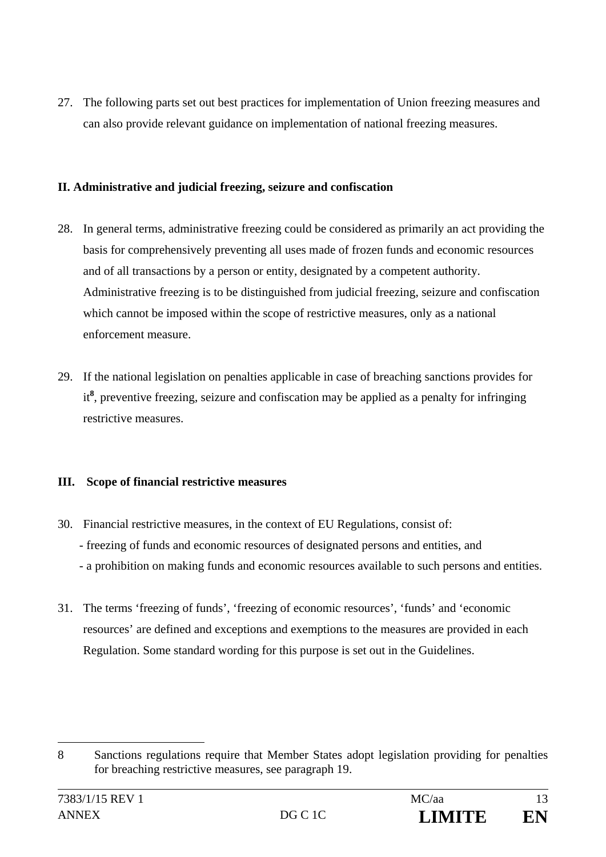27. The following parts set out best practices for implementation of Union freezing measures and can also provide relevant guidance on implementation of national freezing measures.

#### **II. Administrative and judicial freezing, seizure and confiscation**

- 28. In general terms, administrative freezing could be considered as primarily an act providing the basis for comprehensively preventing all uses made of frozen funds and economic resources and of all transactions by a person or entity, designated by a competent authority. Administrative freezing is to be distinguished from judicial freezing, seizure and confiscation which cannot be imposed within the scope of restrictive measures, only as a national enforcement measure.
- 29. If the national legislation on penalties applicable in case of breaching sanctions provides for it**8** , preventive freezing, seizure and confiscation may be applied as a penalty for infringing restrictive measures.

#### **III. Scope of financial restrictive measures**

- 30. Financial restrictive measures, in the context of EU Regulations, consist of: - freezing of funds and economic resources of designated persons and entities, and - a prohibition on making funds and economic resources available to such persons and entities.
- 31. The terms 'freezing of funds', 'freezing of economic resources', 'funds' and 'economic resources' are defined and exceptions and exemptions to the measures are provided in each Regulation. Some standard wording for this purpose is set out in the Guidelines.

 $\overline{a}$ 

<sup>8</sup> Sanctions regulations require that Member States adopt legislation providing for penalties for breaching restrictive measures, see paragraph 19.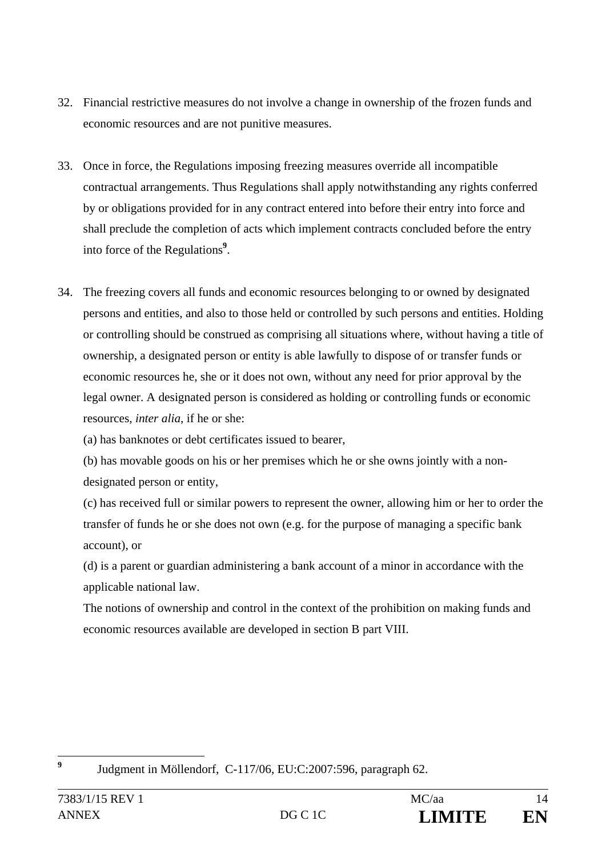- 32. Financial restrictive measures do not involve a change in ownership of the frozen funds and economic resources and are not punitive measures.
- 33. Once in force, the Regulations imposing freezing measures override all incompatible contractual arrangements. Thus Regulations shall apply notwithstanding any rights conferred by or obligations provided for in any contract entered into before their entry into force and shall preclude the completion of acts which implement contracts concluded before the entry into force of the Regulations**<sup>9</sup>** .
- 34. The freezing covers all funds and economic resources belonging to or owned by designated persons and entities, and also to those held or controlled by such persons and entities. Holding or controlling should be construed as comprising all situations where, without having a title of ownership, a designated person or entity is able lawfully to dispose of or transfer funds or economic resources he, she or it does not own, without any need for prior approval by the legal owner. A designated person is considered as holding or controlling funds or economic resources, *inter alia*, if he or she:

(a) has banknotes or debt certificates issued to bearer,

(b) has movable goods on his or her premises which he or she owns jointly with a nondesignated person or entity,

(c) has received full or similar powers to represent the owner, allowing him or her to order the transfer of funds he or she does not own (e.g. for the purpose of managing a specific bank account), or

(d) is a parent or guardian administering a bank account of a minor in accordance with the applicable national law.

The notions of ownership and control in the context of the prohibition on making funds and economic resources available are developed in section B part VIII.

**9**

Judgment in Möllendorf, C-117/06, EU:C:2007:596, paragraph 62.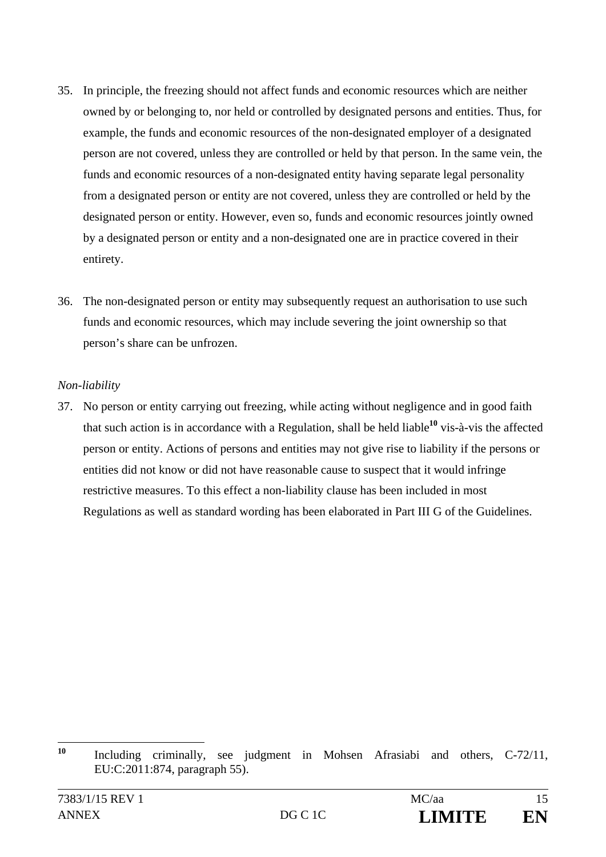- 35. In principle, the freezing should not affect funds and economic resources which are neither owned by or belonging to, nor held or controlled by designated persons and entities. Thus, for example, the funds and economic resources of the non-designated employer of a designated person are not covered, unless they are controlled or held by that person. In the same vein, the funds and economic resources of a non-designated entity having separate legal personality from a designated person or entity are not covered, unless they are controlled or held by the designated person or entity. However, even so, funds and economic resources jointly owned by a designated person or entity and a non-designated one are in practice covered in their entirety.
- 36. The non-designated person or entity may subsequently request an authorisation to use such funds and economic resources, which may include severing the joint ownership so that person's share can be unfrozen.

#### *Non-liability*

37. No person or entity carrying out freezing, while acting without negligence and in good faith that such action is in accordance with a Regulation, shall be held liable**<sup>10</sup>** vis-à-vis the affected person or entity. Actions of persons and entities may not give rise to liability if the persons or entities did not know or did not have reasonable cause to suspect that it would infringe restrictive measures. To this effect a non-liability clause has been included in most Regulations as well as standard wording has been elaborated in Part III G of the Guidelines.

 $10$ **<sup>10</sup>**Including criminally, see judgment in Mohsen Afrasiabi and others, C-72/11, EU:C:2011:874, paragraph 55).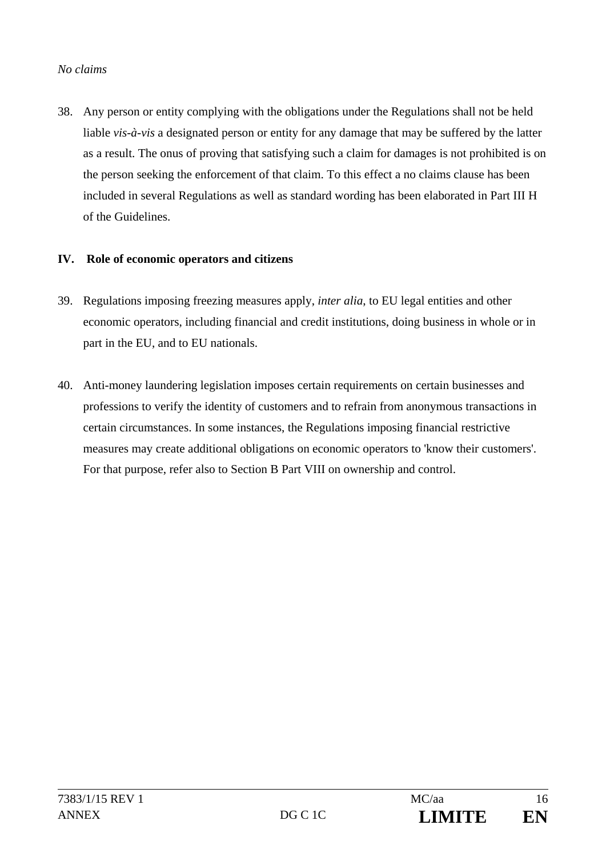#### *No claims*

38. Any person or entity complying with the obligations under the Regulations shall not be held liable *vis-à-vis* a designated person or entity for any damage that may be suffered by the latter as a result. The onus of proving that satisfying such a claim for damages is not prohibited is on the person seeking the enforcement of that claim. To this effect a no claims clause has been included in several Regulations as well as standard wording has been elaborated in Part III H of the Guidelines.

#### **IV. Role of economic operators and citizens**

- 39. Regulations imposing freezing measures apply, *inter alia*, to EU legal entities and other economic operators, including financial and credit institutions, doing business in whole or in part in the EU, and to EU nationals.
- 40. Anti-money laundering legislation imposes certain requirements on certain businesses and professions to verify the identity of customers and to refrain from anonymous transactions in certain circumstances. In some instances, the Regulations imposing financial restrictive measures may create additional obligations on economic operators to 'know their customers'. For that purpose, refer also to Section B Part VIII on ownership and control.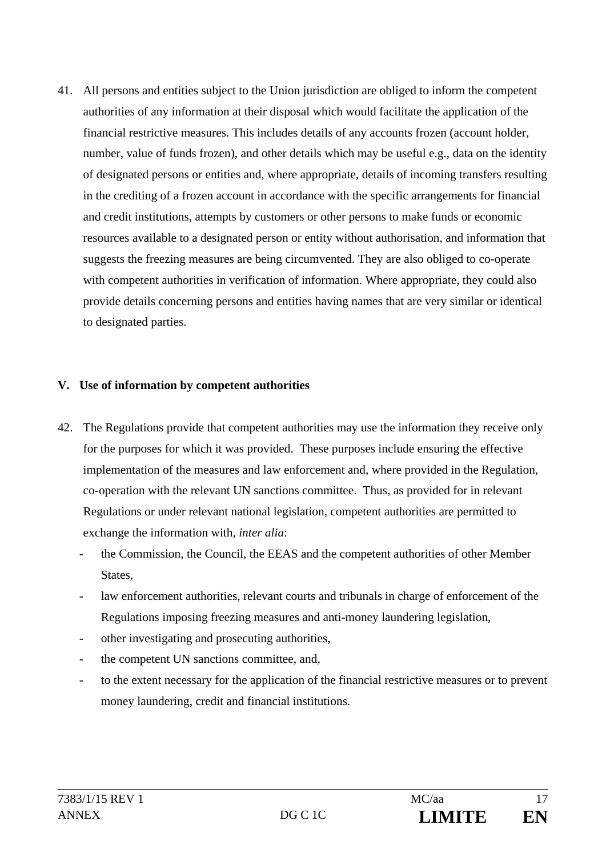41. All persons and entities subject to the Union jurisdiction are obliged to inform the competent authorities of any information at their disposal which would facilitate the application of the financial restrictive measures. This includes details of any accounts frozen (account holder, number, value of funds frozen), and other details which may be useful e.g., data on the identity of designated persons or entities and, where appropriate, details of incoming transfers resulting in the crediting of a frozen account in accordance with the specific arrangements for financial and credit institutions, attempts by customers or other persons to make funds or economic resources available to a designated person or entity without authorisation, and information that suggests the freezing measures are being circumvented. They are also obliged to co-operate with competent authorities in verification of information. Where appropriate, they could also provide details concerning persons and entities having names that are very similar or identical to designated parties.

#### **V. Use of information by competent authorities**

- 42. The Regulations provide that competent authorities may use the information they receive only for the purposes for which it was provided. These purposes include ensuring the effective implementation of the measures and law enforcement and, where provided in the Regulation, co-operation with the relevant UN sanctions committee. Thus, as provided for in relevant Regulations or under relevant national legislation, competent authorities are permitted to exchange the information with, *inter alia*:
	- the Commission, the Council, the EEAS and the competent authorities of other Member States,
	- law enforcement authorities, relevant courts and tribunals in charge of enforcement of the Regulations imposing freezing measures and anti-money laundering legislation,
	- other investigating and prosecuting authorities,
	- the competent UN sanctions committee, and,
	- to the extent necessary for the application of the financial restrictive measures or to prevent money laundering, credit and financial institutions.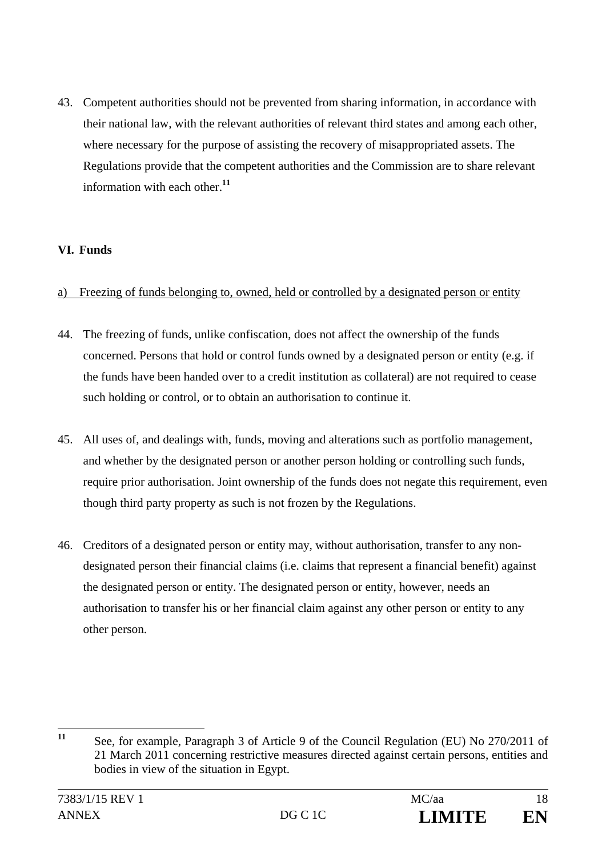43. Competent authorities should not be prevented from sharing information, in accordance with their national law, with the relevant authorities of relevant third states and among each other, where necessary for the purpose of assisting the recovery of misappropriated assets. The Regulations provide that the competent authorities and the Commission are to share relevant information with each other.**<sup>11</sup>**

#### **VI. Funds**

#### a) Freezing of funds belonging to, owned, held or controlled by a designated person or entity

- 44. The freezing of funds, unlike confiscation, does not affect the ownership of the funds concerned. Persons that hold or control funds owned by a designated person or entity (e.g. if the funds have been handed over to a credit institution as collateral) are not required to cease such holding or control, or to obtain an authorisation to continue it.
- 45. All uses of, and dealings with, funds, moving and alterations such as portfolio management, and whether by the designated person or another person holding or controlling such funds, require prior authorisation. Joint ownership of the funds does not negate this requirement, even though third party property as such is not frozen by the Regulations.
- 46. Creditors of a designated person or entity may, without authorisation, transfer to any nondesignated person their financial claims (i.e. claims that represent a financial benefit) against the designated person or entity. The designated person or entity, however, needs an authorisation to transfer his or her financial claim against any other person or entity to any other person.

 $11$ **<sup>11</sup>** See, for example, Paragraph 3 of Article 9 of the Council Regulation (EU) No 270/2011 of 21 March 2011 concerning restrictive measures directed against certain persons, entities and bodies in view of the situation in Egypt.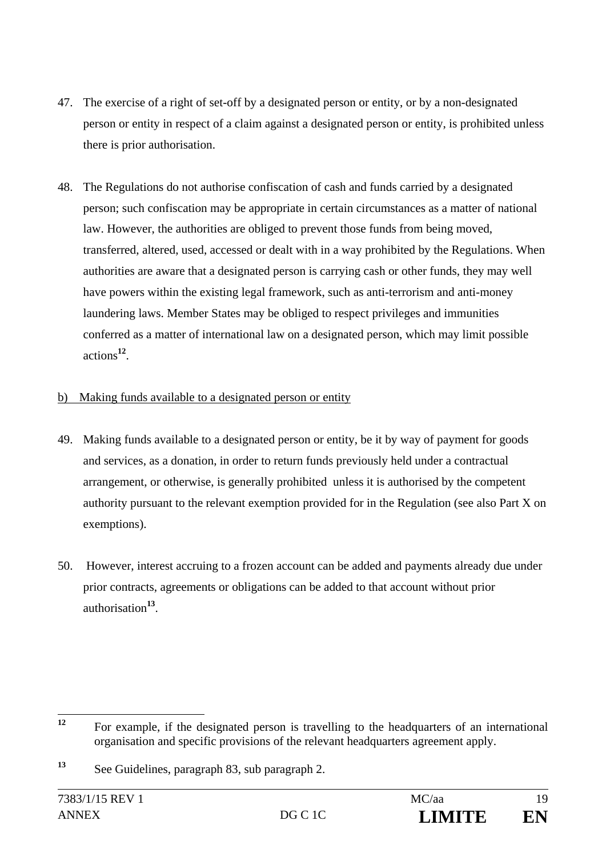- 47. The exercise of a right of set-off by a designated person or entity, or by a non-designated person or entity in respect of a claim against a designated person or entity, is prohibited unless there is prior authorisation.
- 48. The Regulations do not authorise confiscation of cash and funds carried by a designated person; such confiscation may be appropriate in certain circumstances as a matter of national law. However, the authorities are obliged to prevent those funds from being moved, transferred, altered, used, accessed or dealt with in a way prohibited by the Regulations. When authorities are aware that a designated person is carrying cash or other funds, they may well have powers within the existing legal framework, such as anti-terrorism and anti-money laundering laws. Member States may be obliged to respect privileges and immunities conferred as a matter of international law on a designated person, which may limit possible actions**<sup>12</sup>**.

#### b) Making funds available to a designated person or entity

- 49. Making funds available to a designated person or entity, be it by way of payment for goods and services, as a donation, in order to return funds previously held under a contractual arrangement, or otherwise, is generally prohibited unless it is authorised by the competent authority pursuant to the relevant exemption provided for in the Regulation (see also Part X on exemptions).
- 50. However, interest accruing to a frozen account can be added and payments already due under prior contracts, agreements or obligations can be added to that account without prior authorisation**<sup>13</sup>**.

<sup>12</sup> **<sup>12</sup>** For example, if the designated person is travelling to the headquarters of an international organisation and specific provisions of the relevant headquarters agreement apply.

**<sup>13</sup>** See Guidelines, paragraph 83, sub paragraph 2.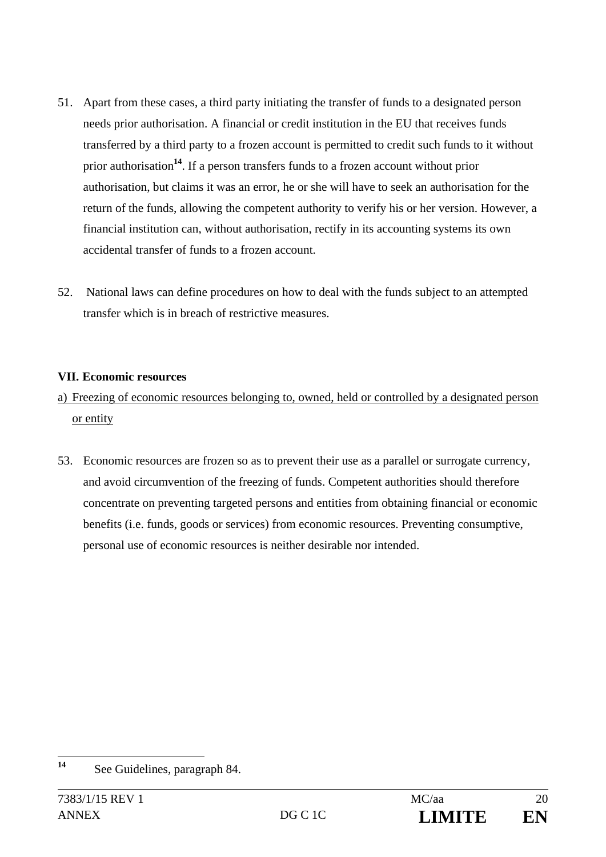- 51. Apart from these cases, a third party initiating the transfer of funds to a designated person needs prior authorisation. A financial or credit institution in the EU that receives funds transferred by a third party to a frozen account is permitted to credit such funds to it without prior authorisation**<sup>14</sup>**. If a person transfers funds to a frozen account without prior authorisation, but claims it was an error, he or she will have to seek an authorisation for the return of the funds, allowing the competent authority to verify his or her version. However, a financial institution can, without authorisation, rectify in its accounting systems its own accidental transfer of funds to a frozen account.
- 52. National laws can define procedures on how to deal with the funds subject to an attempted transfer which is in breach of restrictive measures.

#### **VII. Economic resources**

## a) Freezing of economic resources belonging to, owned, held or controlled by a designated person or entity

53. Economic resources are frozen so as to prevent their use as a parallel or surrogate currency, and avoid circumvention of the freezing of funds. Competent authorities should therefore concentrate on preventing targeted persons and entities from obtaining financial or economic benefits (i.e. funds, goods or services) from economic resources. Preventing consumptive, personal use of economic resources is neither desirable nor intended.

 $14$ See Guidelines, paragraph 84.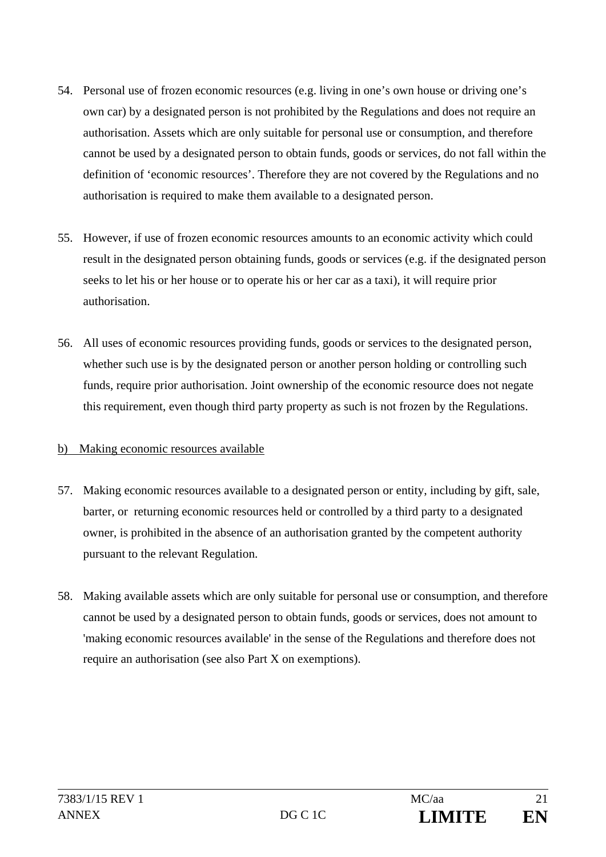- 54. Personal use of frozen economic resources (e.g. living in one's own house or driving one's own car) by a designated person is not prohibited by the Regulations and does not require an authorisation. Assets which are only suitable for personal use or consumption, and therefore cannot be used by a designated person to obtain funds, goods or services, do not fall within the definition of 'economic resources'. Therefore they are not covered by the Regulations and no authorisation is required to make them available to a designated person.
- 55. However, if use of frozen economic resources amounts to an economic activity which could result in the designated person obtaining funds, goods or services (e.g. if the designated person seeks to let his or her house or to operate his or her car as a taxi), it will require prior authorisation.
- 56. All uses of economic resources providing funds, goods or services to the designated person, whether such use is by the designated person or another person holding or controlling such funds, require prior authorisation. Joint ownership of the economic resource does not negate this requirement, even though third party property as such is not frozen by the Regulations.

#### b) Making economic resources available

- 57. Making economic resources available to a designated person or entity, including by gift, sale, barter, or returning economic resources held or controlled by a third party to a designated owner, is prohibited in the absence of an authorisation granted by the competent authority pursuant to the relevant Regulation.
- 58. Making available assets which are only suitable for personal use or consumption, and therefore cannot be used by a designated person to obtain funds, goods or services, does not amount to 'making economic resources available' in the sense of the Regulations and therefore does not require an authorisation (see also Part X on exemptions).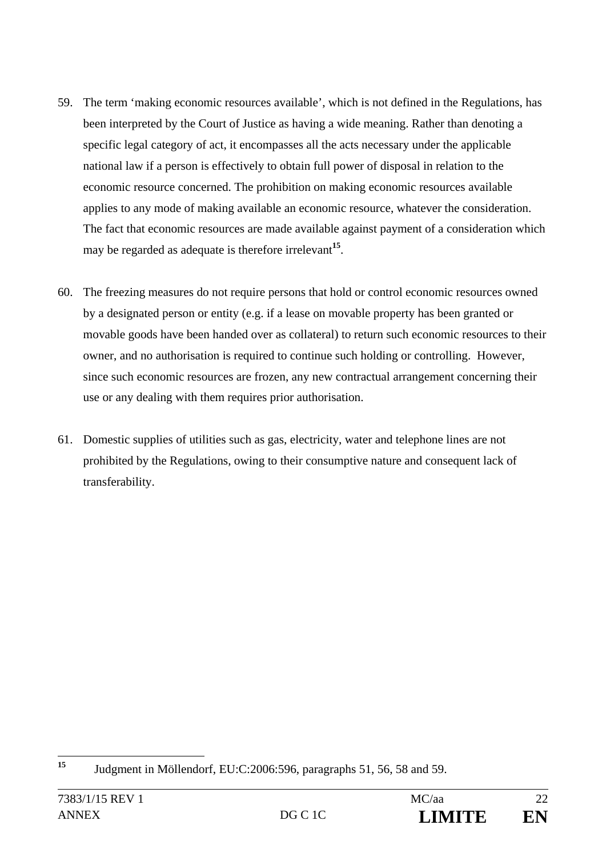- 59. The term 'making economic resources available', which is not defined in the Regulations, has been interpreted by the Court of Justice as having a wide meaning. Rather than denoting a specific legal category of act, it encompasses all the acts necessary under the applicable national law if a person is effectively to obtain full power of disposal in relation to the economic resource concerned. The prohibition on making economic resources available applies to any mode of making available an economic resource, whatever the consideration. The fact that economic resources are made available against payment of a consideration which may be regarded as adequate is therefore irrelevant**<sup>15</sup>**.
- 60. The freezing measures do not require persons that hold or control economic resources owned by a designated person or entity (e.g. if a lease on movable property has been granted or movable goods have been handed over as collateral) to return such economic resources to their owner, and no authorisation is required to continue such holding or controlling. However, since such economic resources are frozen, any new contractual arrangement concerning their use or any dealing with them requires prior authorisation.
- 61. Domestic supplies of utilities such as gas, electricity, water and telephone lines are not prohibited by the Regulations, owing to their consumptive nature and consequent lack of transferability.

 $15$ **<sup>15</sup>** Judgment in Möllendorf, EU:C:2006:596, paragraphs 51, 56, 58 and 59.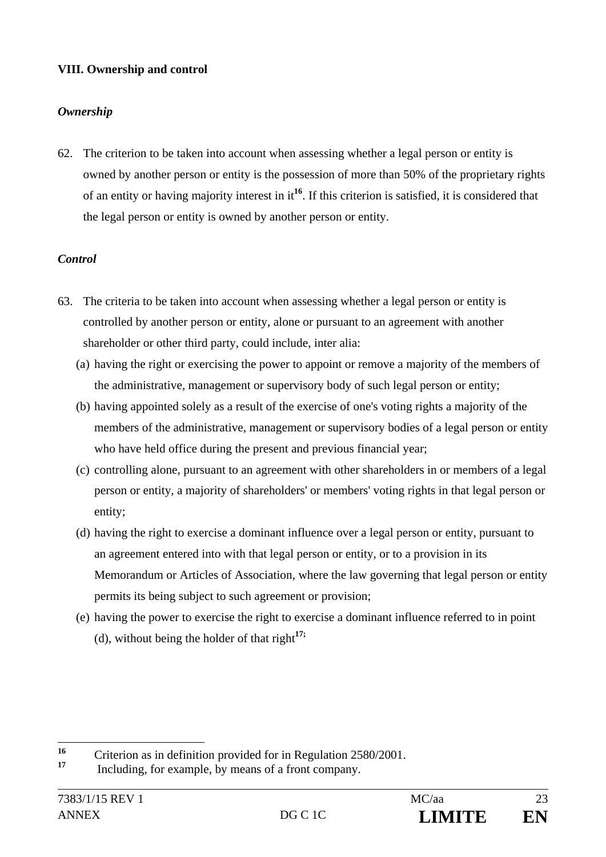## **VIII. Ownership and control**

## *Ownership*

62. The criterion to be taken into account when assessing whether a legal person or entity is owned by another person or entity is the possession of more than 50% of the proprietary rights of an entity or having majority interest in it**<sup>16</sup>**. If this criterion is satisfied, it is considered that the legal person or entity is owned by another person or entity.

## *Control*

- 63. The criteria to be taken into account when assessing whether a legal person or entity is controlled by another person or entity, alone or pursuant to an agreement with another shareholder or other third party, could include, inter alia:
	- (a) having the right or exercising the power to appoint or remove a majority of the members of the administrative, management or supervisory body of such legal person or entity;
	- (b) having appointed solely as a result of the exercise of one's voting rights a majority of the members of the administrative, management or supervisory bodies of a legal person or entity who have held office during the present and previous financial year;
	- (c) controlling alone, pursuant to an agreement with other shareholders in or members of a legal person or entity, a majority of shareholders' or members' voting rights in that legal person or entity;
	- (d) having the right to exercise a dominant influence over a legal person or entity, pursuant to an agreement entered into with that legal person or entity, or to a provision in its Memorandum or Articles of Association, where the law governing that legal person or entity permits its being subject to such agreement or provision;
	- (e) having the power to exercise the right to exercise a dominant influence referred to in point (d), without being the holder of that right**17;**

 $16$ <sup>16</sup> Criterion as in definition provided for in Regulation 2580/2001.

Including, for example, by means of a front company.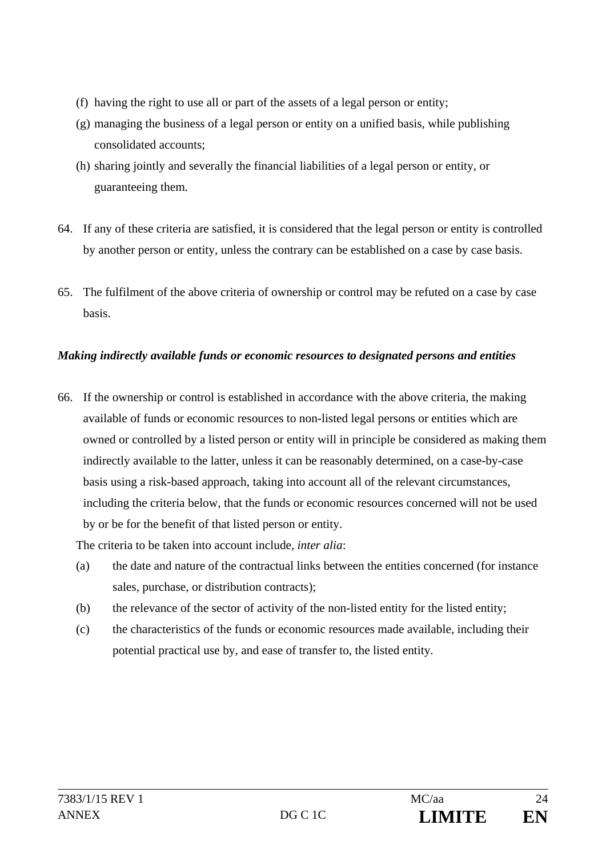- (f) having the right to use all or part of the assets of a legal person or entity;
- (g) managing the business of a legal person or entity on a unified basis, while publishing consolidated accounts;
- (h) sharing jointly and severally the financial liabilities of a legal person or entity, or guaranteeing them.
- 64. If any of these criteria are satisfied, it is considered that the legal person or entity is controlled by another person or entity, unless the contrary can be established on a case by case basis.
- 65. The fulfilment of the above criteria of ownership or control may be refuted on a case by case basis.

## *Making indirectly available funds or economic resources to designated persons and entities*

66. If the ownership or control is established in accordance with the above criteria, the making available of funds or economic resources to non-listed legal persons or entities which are owned or controlled by a listed person or entity will in principle be considered as making them indirectly available to the latter, unless it can be reasonably determined, on a case-by-case basis using a risk-based approach, taking into account all of the relevant circumstances, including the criteria below, that the funds or economic resources concerned will not be used by or be for the benefit of that listed person or entity.

The criteria to be taken into account include, *inter alia*:

- (a) the date and nature of the contractual links between the entities concerned (for instance sales, purchase, or distribution contracts);
- (b) the relevance of the sector of activity of the non-listed entity for the listed entity;
- (c) the characteristics of the funds or economic resources made available, including their potential practical use by, and ease of transfer to, the listed entity.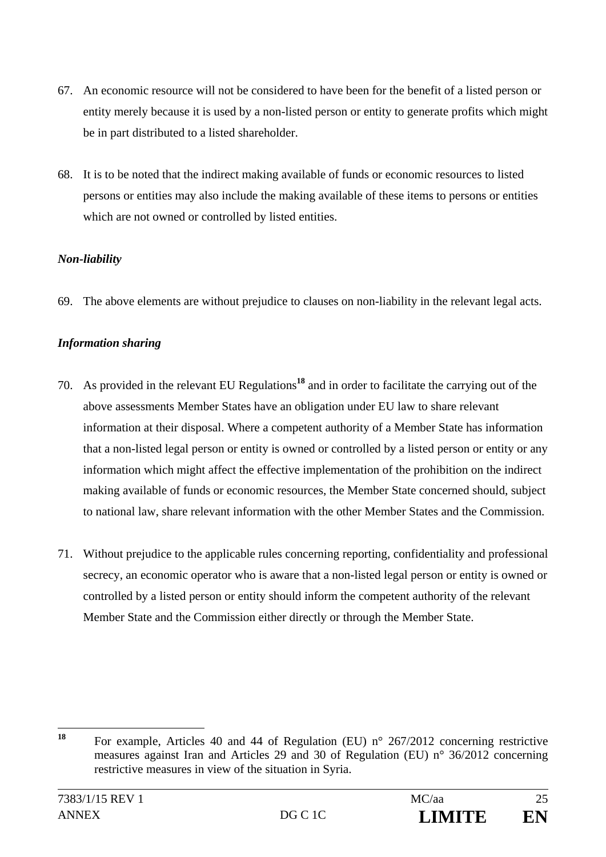- 67. An economic resource will not be considered to have been for the benefit of a listed person or entity merely because it is used by a non-listed person or entity to generate profits which might be in part distributed to a listed shareholder.
- 68. It is to be noted that the indirect making available of funds or economic resources to listed persons or entities may also include the making available of these items to persons or entities which are not owned or controlled by listed entities.

## *Non-liability*

69. The above elements are without prejudice to clauses on non-liability in the relevant legal acts.

## *Information sharing*

- 70. As provided in the relevant EU Regulations**<sup>18</sup>** and in order to facilitate the carrying out of the above assessments Member States have an obligation under EU law to share relevant information at their disposal. Where a competent authority of a Member State has information that a non-listed legal person or entity is owned or controlled by a listed person or entity or any information which might affect the effective implementation of the prohibition on the indirect making available of funds or economic resources, the Member State concerned should, subject to national law, share relevant information with the other Member States and the Commission.
- 71. Without prejudice to the applicable rules concerning reporting, confidentiality and professional secrecy, an economic operator who is aware that a non-listed legal person or entity is owned or controlled by a listed person or entity should inform the competent authority of the relevant Member State and the Commission either directly or through the Member State.

<sup>18</sup> **<sup>18</sup>** For example, Articles 40 and 44 of Regulation (EU) n° 267/2012 concerning restrictive measures against Iran and Articles 29 and 30 of Regulation (EU) n° 36/2012 concerning restrictive measures in view of the situation in Syria.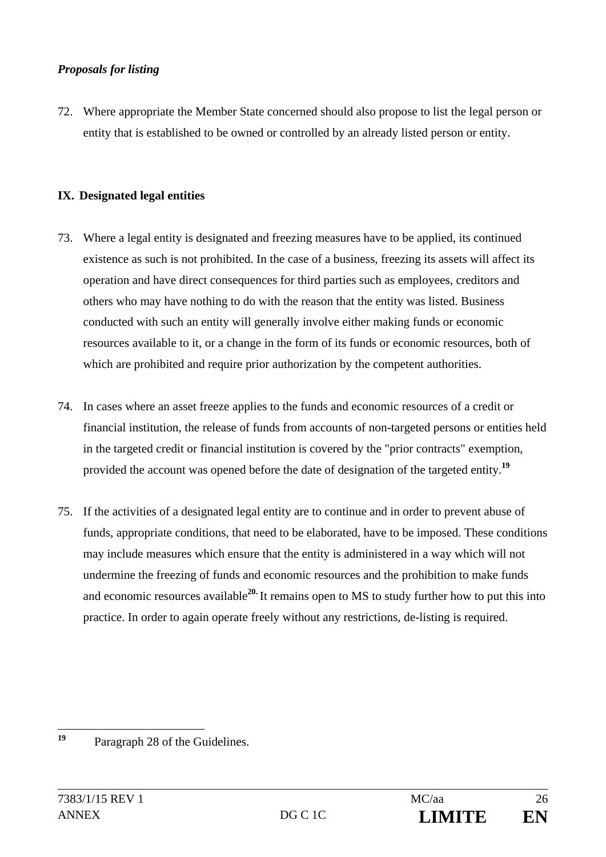#### *Proposals for listing*

72. Where appropriate the Member State concerned should also propose to list the legal person or entity that is established to be owned or controlled by an already listed person or entity.

#### **IX. Designated legal entities**

- 73. Where a legal entity is designated and freezing measures have to be applied, its continued existence as such is not prohibited. In the case of a business, freezing its assets will affect its operation and have direct consequences for third parties such as employees, creditors and others who may have nothing to do with the reason that the entity was listed. Business conducted with such an entity will generally involve either making funds or economic resources available to it, or a change in the form of its funds or economic resources, both of which are prohibited and require prior authorization by the competent authorities.
- 74. In cases where an asset freeze applies to the funds and economic resources of a credit or financial institution, the release of funds from accounts of non-targeted persons or entities held in the targeted credit or financial institution is covered by the "prior contracts" exemption, provided the account was opened before the date of designation of the targeted entity.**<sup>19</sup>**
- 75. If the activities of a designated legal entity are to continue and in order to prevent abuse of funds, appropriate conditions, that need to be elaborated, have to be imposed. These conditions may include measures which ensure that the entity is administered in a way which will not undermine the freezing of funds and economic resources and the prohibition to make funds and economic resources available**20.** It remains open to MS to study further how to put this into practice. In order to again operate freely without any restrictions, de-listing is required.

 $19$ Paragraph 28 of the Guidelines.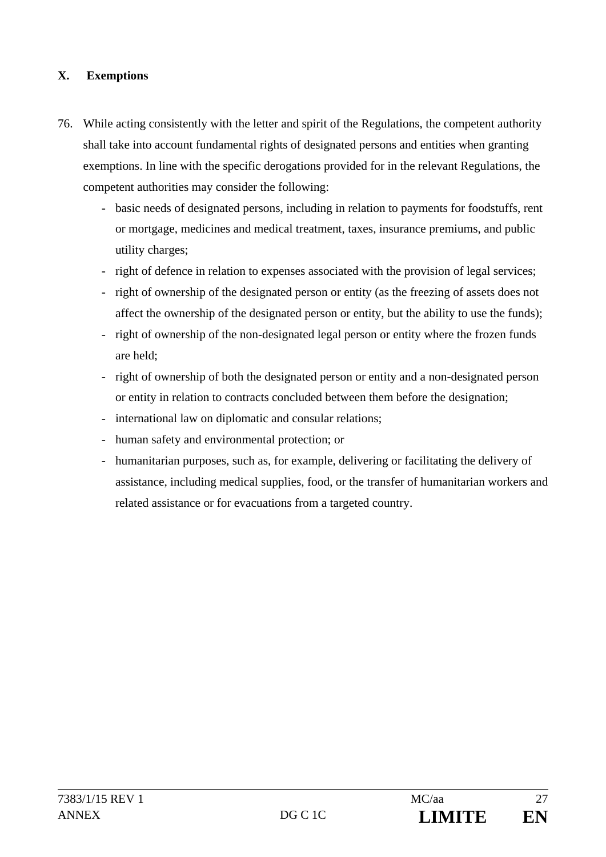#### **X. Exemptions**

- 76. While acting consistently with the letter and spirit of the Regulations, the competent authority shall take into account fundamental rights of designated persons and entities when granting exemptions. In line with the specific derogations provided for in the relevant Regulations, the competent authorities may consider the following:
	- basic needs of designated persons, including in relation to payments for foodstuffs, rent or mortgage, medicines and medical treatment, taxes, insurance premiums, and public utility charges;
	- right of defence in relation to expenses associated with the provision of legal services;
	- right of ownership of the designated person or entity (as the freezing of assets does not affect the ownership of the designated person or entity, but the ability to use the funds);
	- right of ownership of the non-designated legal person or entity where the frozen funds are held;
	- right of ownership of both the designated person or entity and a non-designated person or entity in relation to contracts concluded between them before the designation;
	- international law on diplomatic and consular relations;
	- human safety and environmental protection; or
	- humanitarian purposes, such as, for example, delivering or facilitating the delivery of assistance, including medical supplies, food, or the transfer of humanitarian workers and related assistance or for evacuations from a targeted country.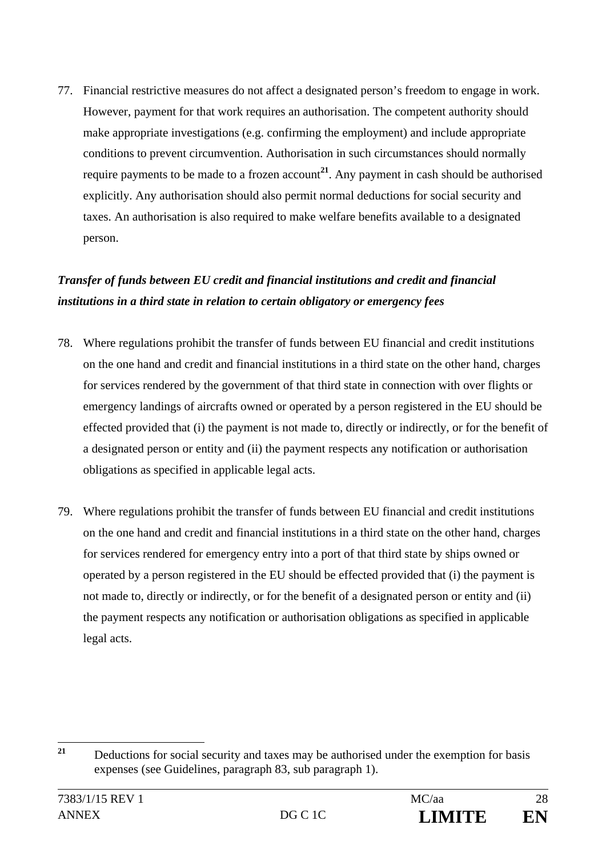77. Financial restrictive measures do not affect a designated person's freedom to engage in work. However, payment for that work requires an authorisation. The competent authority should make appropriate investigations (e.g. confirming the employment) and include appropriate conditions to prevent circumvention. Authorisation in such circumstances should normally require payments to be made to a frozen account<sup>21</sup>. Any payment in cash should be authorised explicitly. Any authorisation should also permit normal deductions for social security and taxes. An authorisation is also required to make welfare benefits available to a designated person.

## *Transfer of funds between EU credit and financial institutions and credit and financial institutions in a third state in relation to certain obligatory or emergency fees*

- 78. Where regulations prohibit the transfer of funds between EU financial and credit institutions on the one hand and credit and financial institutions in a third state on the other hand, charges for services rendered by the government of that third state in connection with over flights or emergency landings of aircrafts owned or operated by a person registered in the EU should be effected provided that (i) the payment is not made to, directly or indirectly, or for the benefit of a designated person or entity and (ii) the payment respects any notification or authorisation obligations as specified in applicable legal acts.
- 79. Where regulations prohibit the transfer of funds between EU financial and credit institutions on the one hand and credit and financial institutions in a third state on the other hand, charges for services rendered for emergency entry into a port of that third state by ships owned or operated by a person registered in the EU should be effected provided that (i) the payment is not made to, directly or indirectly, or for the benefit of a designated person or entity and (ii) the payment respects any notification or authorisation obligations as specified in applicable legal acts.

 $21$ **<sup>21</sup>** Deductions for social security and taxes may be authorised under the exemption for basis expenses (see Guidelines, paragraph 83, sub paragraph 1).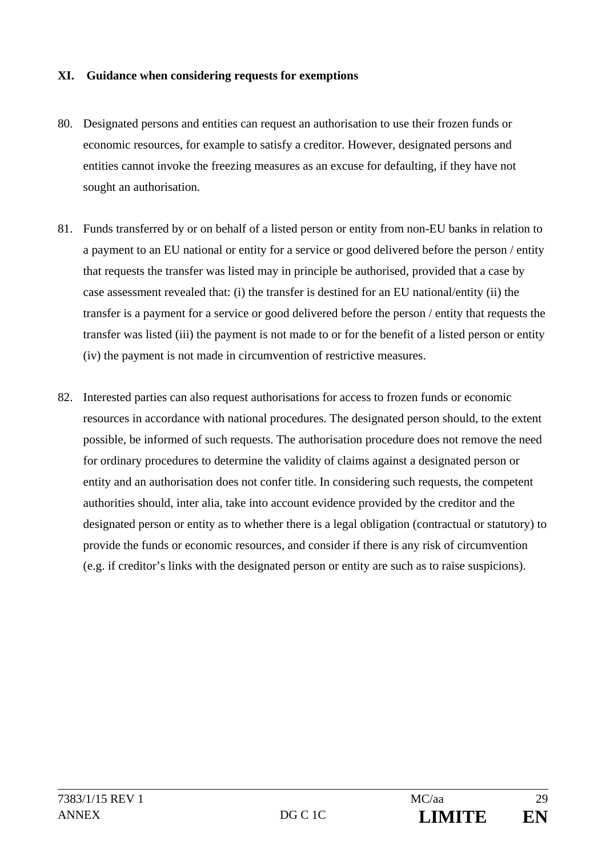#### **XI. Guidance when considering requests for exemptions**

- 80. Designated persons and entities can request an authorisation to use their frozen funds or economic resources, for example to satisfy a creditor. However, designated persons and entities cannot invoke the freezing measures as an excuse for defaulting, if they have not sought an authorisation.
- 81. Funds transferred by or on behalf of a listed person or entity from non-EU banks in relation to a payment to an EU national or entity for a service or good delivered before the person / entity that requests the transfer was listed may in principle be authorised, provided that a case by case assessment revealed that: (i) the transfer is destined for an EU national/entity (ii) the transfer is a payment for a service or good delivered before the person / entity that requests the transfer was listed (iii) the payment is not made to or for the benefit of a listed person or entity (iv) the payment is not made in circumvention of restrictive measures.
- 82. Interested parties can also request authorisations for access to frozen funds or economic resources in accordance with national procedures. The designated person should, to the extent possible, be informed of such requests. The authorisation procedure does not remove the need for ordinary procedures to determine the validity of claims against a designated person or entity and an authorisation does not confer title. In considering such requests, the competent authorities should, inter alia, take into account evidence provided by the creditor and the designated person or entity as to whether there is a legal obligation (contractual or statutory) to provide the funds or economic resources, and consider if there is any risk of circumvention (e.g. if creditor's links with the designated person or entity are such as to raise suspicions).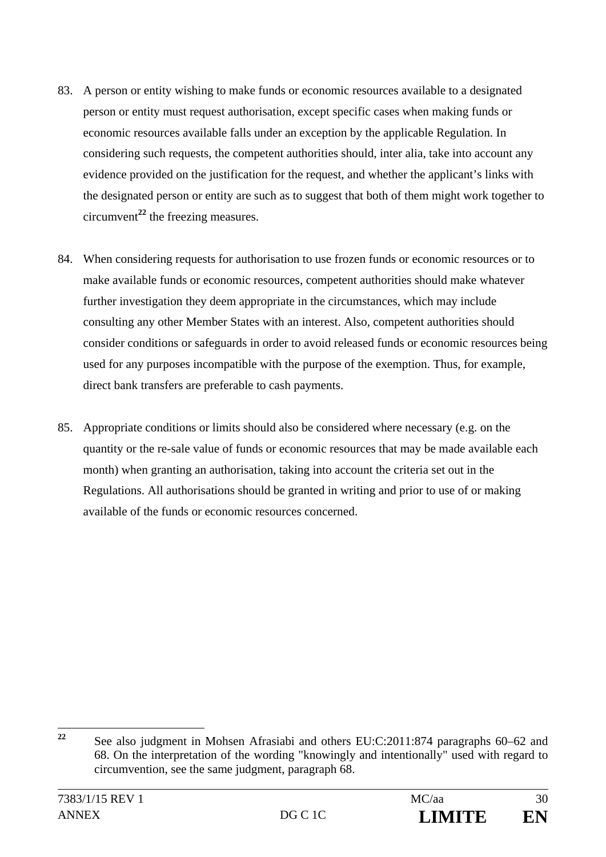- 83. A person or entity wishing to make funds or economic resources available to a designated person or entity must request authorisation, except specific cases when making funds or economic resources available falls under an exception by the applicable Regulation. In considering such requests, the competent authorities should, inter alia, take into account any evidence provided on the justification for the request, and whether the applicant's links with the designated person or entity are such as to suggest that both of them might work together to circumvent**<sup>22</sup>** the freezing measures.
- 84. When considering requests for authorisation to use frozen funds or economic resources or to make available funds or economic resources, competent authorities should make whatever further investigation they deem appropriate in the circumstances, which may include consulting any other Member States with an interest. Also, competent authorities should consider conditions or safeguards in order to avoid released funds or economic resources being used for any purposes incompatible with the purpose of the exemption. Thus, for example, direct bank transfers are preferable to cash payments.
- 85. Appropriate conditions or limits should also be considered where necessary (e.g. on the quantity or the re-sale value of funds or economic resources that may be made available each month) when granting an authorisation, taking into account the criteria set out in the Regulations. All authorisations should be granted in writing and prior to use of or making available of the funds or economic resources concerned.

 $22$ **<sup>22</sup>** See also judgment in Mohsen Afrasiabi and others EU:C:2011:874 paragraphs 60–62 and 68. On the interpretation of the wording "knowingly and intentionally" used with regard to circumvention, see the same judgment, paragraph 68.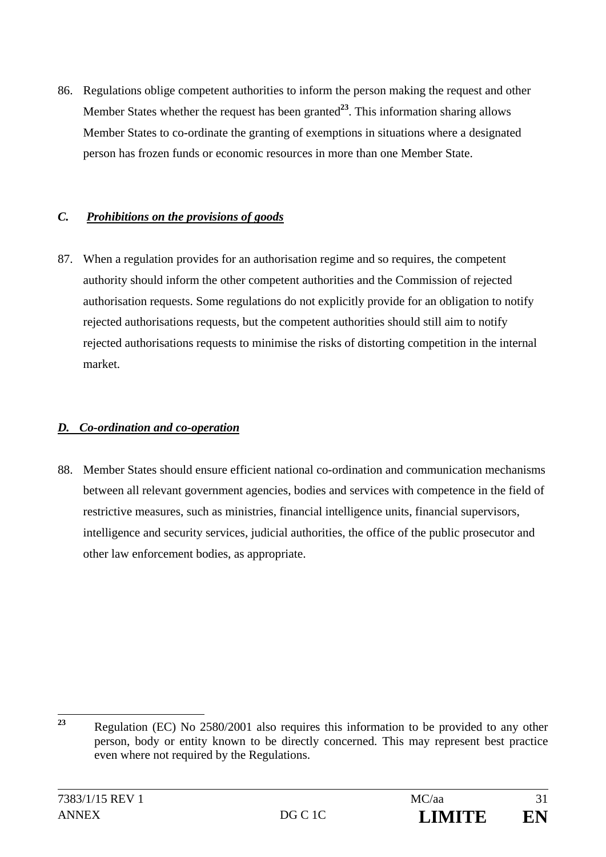86. Regulations oblige competent authorities to inform the person making the request and other Member States whether the request has been granted<sup>23</sup>. This information sharing allows Member States to co-ordinate the granting of exemptions in situations where a designated person has frozen funds or economic resources in more than one Member State.

#### *C. Prohibitions on the provisions of goods*

87. When a regulation provides for an authorisation regime and so requires, the competent authority should inform the other competent authorities and the Commission of rejected authorisation requests. Some regulations do not explicitly provide for an obligation to notify rejected authorisations requests, but the competent authorities should still aim to notify rejected authorisations requests to minimise the risks of distorting competition in the internal market.

## *D. Co-ordination and co-operation*

88. Member States should ensure efficient national co-ordination and communication mechanisms between all relevant government agencies, bodies and services with competence in the field of restrictive measures, such as ministries, financial intelligence units, financial supervisors, intelligence and security services, judicial authorities, the office of the public prosecutor and other law enforcement bodies, as appropriate.

<sup>23</sup> **<sup>23</sup>** Regulation (EC) No 2580/2001 also requires this information to be provided to any other person, body or entity known to be directly concerned. This may represent best practice even where not required by the Regulations.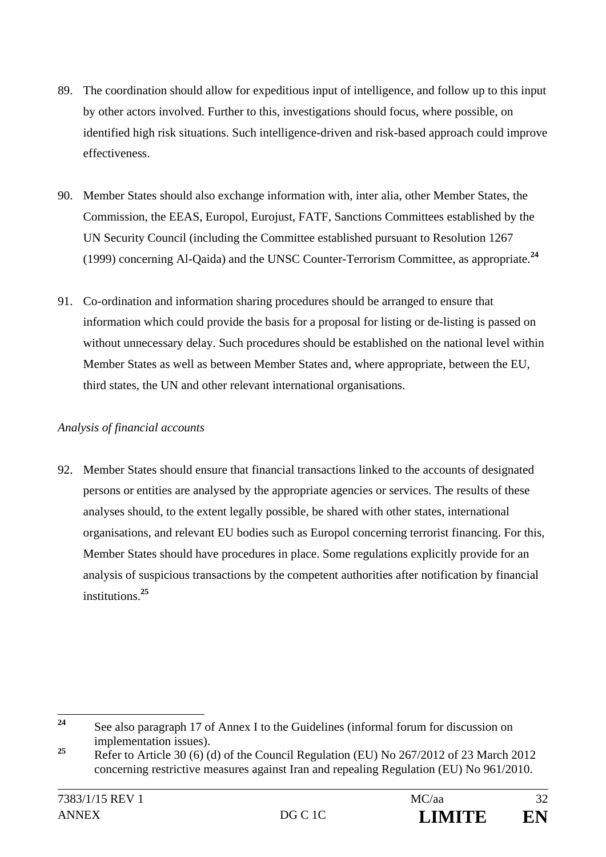- 89. The coordination should allow for expeditious input of intelligence, and follow up to this input by other actors involved. Further to this, investigations should focus, where possible, on identified high risk situations. Such intelligence-driven and risk-based approach could improve effectiveness.
- 90. Member States should also exchange information with, inter alia, other Member States, the Commission, the EEAS, Europol, Eurojust, FATF, Sanctions Committees established by the UN Security Council (including the Committee established pursuant to Resolution 1267 (1999) concerning Al-Qaida) and the UNSC Counter-Terrorism Committee, as appropriate.**<sup>24</sup>**
- 91. Co-ordination and information sharing procedures should be arranged to ensure that information which could provide the basis for a proposal for listing or de-listing is passed on without unnecessary delay. Such procedures should be established on the national level within Member States as well as between Member States and, where appropriate, between the EU, third states, the UN and other relevant international organisations.

#### *Analysis of financial accounts*

92. Member States should ensure that financial transactions linked to the accounts of designated persons or entities are analysed by the appropriate agencies or services. The results of these analyses should, to the extent legally possible, be shared with other states, international organisations, and relevant EU bodies such as Europol concerning terrorist financing. For this, Member States should have procedures in place. Some regulations explicitly provide for an analysis of suspicious transactions by the competent authorities after notification by financial institutions.**<sup>25</sup>**

<sup>24</sup> See also paragraph 17 of Annex I to the Guidelines (informal forum for discussion on implementation issues).

<sup>&</sup>lt;sup>25</sup> Refer to Article 30 (6) (d) of the Council Regulation (EU) No 267/2012 of 23 March 2012 concerning restrictive measures against Iran and repealing Regulation (EU) No 961/2010.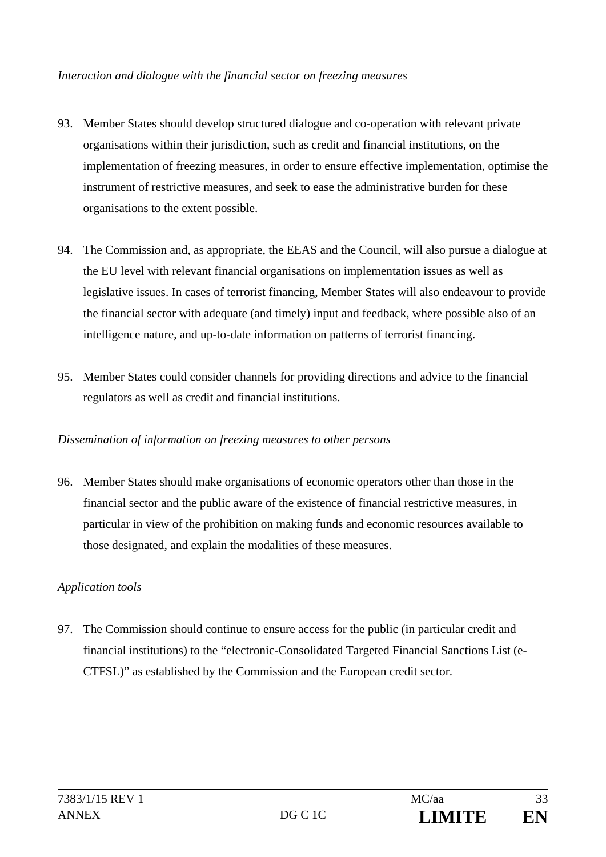#### *Interaction and dialogue with the financial sector on freezing measures*

- 93. Member States should develop structured dialogue and co-operation with relevant private organisations within their jurisdiction, such as credit and financial institutions, on the implementation of freezing measures, in order to ensure effective implementation, optimise the instrument of restrictive measures, and seek to ease the administrative burden for these organisations to the extent possible.
- 94. The Commission and, as appropriate, the EEAS and the Council, will also pursue a dialogue at the EU level with relevant financial organisations on implementation issues as well as legislative issues. In cases of terrorist financing, Member States will also endeavour to provide the financial sector with adequate (and timely) input and feedback, where possible also of an intelligence nature, and up-to-date information on patterns of terrorist financing.
- 95. Member States could consider channels for providing directions and advice to the financial regulators as well as credit and financial institutions.

#### *Dissemination of information on freezing measures to other persons*

96. Member States should make organisations of economic operators other than those in the financial sector and the public aware of the existence of financial restrictive measures, in particular in view of the prohibition on making funds and economic resources available to those designated, and explain the modalities of these measures.

#### *Application tools*

97. The Commission should continue to ensure access for the public (in particular credit and financial institutions) to the "electronic-Consolidated Targeted Financial Sanctions List (e-CTFSL)" as established by the Commission and the European credit sector.